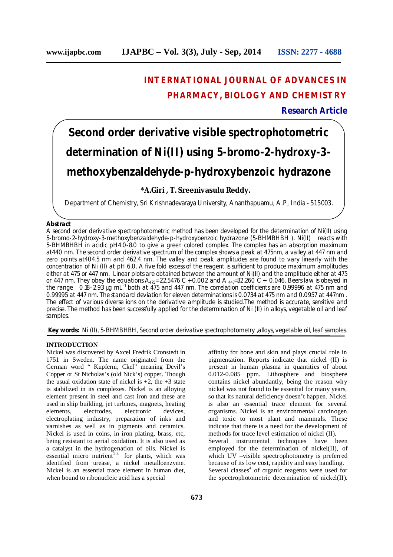# **INTERNATIONAL JOURNAL OF ADVANCES IN PHARMACY, BIOLOGY AND CHEMISTRY**

# **Research Article**

# **Second order derivative visible spectrophotometric determination of Ni(II) using 5-bromo-2-hydroxy-3 methoxybenzaldehyde-p-hydroxybenzoic hydrazone**

# **\*A.Giri , T. Sreenivasulu Reddy.**

Department of Chemistry, Sri Krishnadevaraya University, Ananthapuamu, A.P, India - 515003.

## **Abstract**

A second order derivative spectrophotometric method has been developed for the determination of Ni(II) using 5-bromo-2-hydroxy-3-methoxybenzaldehyde-p-hydroxybenzoic hydrazone (5-BHMBHBH ). Ni(II) reacts with 5-BHMBHBH in acidic pH4.0-8.0 to give a green colored complex. The complex has an absorption maximum at440 nm. The second order derivative spectrum of the complex shows a peak at 475nm, a valley at 447 nm and zero points at404.5 nm and 462.4 nm. The valley and peak amplitudes are found to vary linearly with the concentration of Ni (II) at pH 6.0. A five fold excess of the reagent is sufficient to produce maximum amplitudes either at 475 or 447 nm. Linear plots are obtained between the amount of Ni(II) and the amplitude either at 475 or 447 nm. They obey the equations  $A_{475}$ = 22.5476 C + 0.002 and A  $_{447}$ =32.260 C + 0.046. Beers law is obeyed in the range 0.18–2.93 µg mL<sup>-1</sup> both at 475 and 447 nm. The correlation coefficients are 0.99996 at 475 nm and 0.99995 at 447 nm. The standard deviation for eleven determinations is 0.0734 at 475 nm and 0.0957 at 447nm . The effect of various diverse ions on the derivative amplitude is studied.The method is accurate, sensitive and precise. The method has been successfully applied for the determination of Ni (II) in alloys, vegetable oil and leaf samples.

**Key words:** Ni (II), 5-BHMBHBH, Second order derivative spectrophotometry ,alloys, vegetable oil, leaf samples.

# **INTRODUCTION**

Nickel was discovered by Axcel Fredrik Cronstedt in 1751 in Sweden. The name originated from the German word " Kupferni, Ckel" meaning Devil's Copper or St Nicholas's (old Nick's) copper. Though the usual oxidation state of nickel is  $+2$ , the  $+3$  state is stabilized in its complexes. Nickel is an alloying element present in steel and cast iron and these are used in ship building, jet turbines, magnets, heating elements, electrodes, electronic devices, electroplating industry, preparation of inks and varnishes as well as in pigments and ceramics. Nickel is used in coins, in iron plating, brass, etc, being resistant to aerial oxidation. It is also used as a catalyst in the hydrogenation of oils. Nickel is essential micro nutrient<sup>1-3</sup> for plants, which was identified from urease, a nickel metalloenzyme. Nickel is an essential trace element in human diet, when bound to ribonucleic acid has a special

affinity for bone and skin and plays crucial role in pigmentation. Reports indicate that nickel (II) is present in human plasma in quantities of about 0.012-0.085 ppm. Lithosphere and biosphere contains nickel abundantly, being the reason why nickel was not found to be essential for many years, so that its natural deficiency doesn't happen. Nickel is also an essential trace element for several organisms. Nickel is an environmental carcinogen and toxic to most plant and mammals. These indicate that there is a need for the development of methods for trace level estimation of nickel (II). Several instrumental techniques have been employed for the determination of nickel(II), of which UV –visible spectrophotometry is preferred because of its low cost, rapidity and easy handling. Several classes 4 of organic reagents were used for the spectrophotometric determination of nickel(II).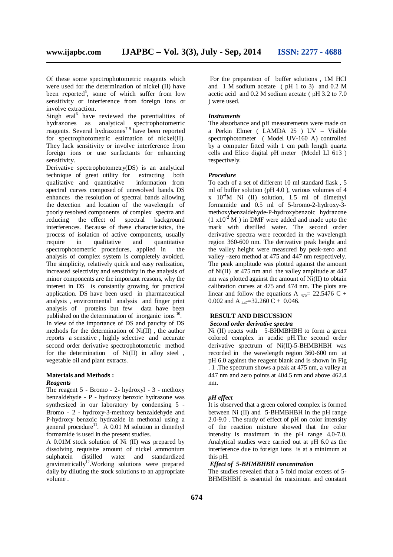Of these some spectrophotometric reagents which were used for the determination of nickel (II) have been reported<sup>5</sup>, some of which suffer from low sensitivity or interference from foreign ions or involve extraction.

Singh etal<sup>6</sup> have reviewed the potentialities of hydrazones as analytical spectrophotometric reagents. Several hydrazones<sup>7-9</sup> have been reported for spectrophotometric estimation of nickel(II). They lack sensitivity or involve interference from foreign ions or use surfactants for enhancing sensitivity.

Derivative spectrophotometry(DS) is an analytical technique of great utility for extracting both qualitative and quantitative information from spectral curves composed of unresolved bands. DS enhances the resolution of spectral bands allowing the detection and location of the wavelength of poorly resolved components of complex spectra and reducing the effect of spectral background interferences. Because of these characteristics, the process of isolation of active components, usually<br>require in qualitative and quantitative quantitative<br>d in the spectrophotometric procedures, applied in analysis of complex system is completely avoided. The simplicity, relatively quick and easy realization, increased selectivity and sensitivity in the analysis of minor components are the important reasons, why the interest in DS is constantly growing for practical application. DS have been used in pharmaceutical analysis , environmental analysis and finger print analysis of proteins but few published on the determination of inorganic ions<sup>10</sup> . In view of the importance of DS and paucity of DS methods for the determination of Ni(II) , the author reports a sensitive , highly selective and accurate second order derivative spectrophotometric method for the determination of Ni(II) in alloy steel , vegetable oil and plant extracts.

# **Materials and Methods :**

#### *Reagents*

The reagent 5 - Bromo - 2- hydroxyl - 3 - methoxy benzaldehyde - P - hydroxy benzoic hydrazone was synthesized in our laboratory by condensing 5 - Bromo - 2 - hydroxy-3-methoxy benzaldehyde and P-hydroxy benzoic hydrazide in methonal using a general procedure<sup>11</sup>. A 0.01 M solution in dimethyl formamide is used in the present studies.

A 0.01M stock solution of Ni (II) was prepared by dissolving requisite amount of nickel ammonium sulphatein distilled water and standardized gravimetrically<sup>12</sup>. Working solutions were prepared daily by diluting the stock solutions to an appropriate volume .

For the preparation of buffer solutions , 1M HCl and 1 M sodium acetate ( pH 1 to 3) and 0.2 M acetic acid and 0.2 M sodium acetate ( pH 3.2 to 7.0 ) were used.

#### *Instruments*

The absorbance and pH measurements were made on a Perkin Elmer ( LAMDA 25 ) UV – Visible spectrophotometer ( Model UV-160 A) controlled by a computer fitted with 1 cm path length quartz cells and Elico digital pH meter (Model LI 613 ) respectively.

#### *Procedure*

To each of a set of different 10 ml standard flask , 5 ml of buffer solution (pH 4.0 ), various volumes of 4  $x \neq 10^{-4}$ M Ni (II) solution, 1.5 ml of dimethyl formamide and 0.5 ml of 5-bromo-2-hydroxy-3 methoxybenzaldehyde-P-hydroxybenzoic hydrazone  $(1 \times 10^{-2} \text{ M})$  in DMF were added and made upto the mark with distilled water. The second order derivative spectra were recorded in the wavelength region 360-600 nm. The derivative peak height and the valley height were measured by peak-zero and valley –zero method at 475 and 447 nm respectively. The peak amplitude was plotted against the amount of Ni(II) at 475 nm and the valley amplitude at 447 nm was plotted against the amount of Ni(II) to obtain calibration curves at 475 and 474 nm. The plots are linear and follow the equations A  $_{475}$  = 22.5476 C + 0.002 and A  $_{447}$ =32.260 C + 0.046.

# **RESULT AND DISCUSSION**

# *Second order derivative spectra*

Ni (II) reacts with 5-BHMBHBH to form a green colored complex in acidic pH.The second order derivative spectrum of  $Ni(II)$ -5-BHMBHBH was recorded in the wavelength region 360-600 nm at pH 6.0 against the reagent blank and is shown in Fig . 1 .The spectrum shows a peak at 475 nm, a valley at 447 nm and zero points at 404.5 nm and above 462.4 nm.

# *pH effect*

It is observed that a green colored complex is formed between Ni (II) and 5-BHMBHBH in the pH range 2.0-9.0 . The study of effect of pH on color intensity of the reaction mixture showed that the color intensity is maximum in the pH range 4.0-7.0. Analytical studies were carried out at pH 6.0 as the interference due to foreign ions is at a minimum at this pH.

#### *Effect of 5-BHMBHBH concentration*

The studies revealed that a 5 fold molar excess of 5- BHMBHBH is essential for maximum and constant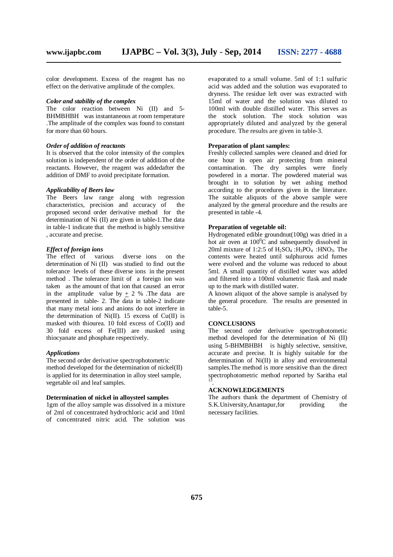color development. Excess of the reagent has no effect on the derivative amplitude of the complex.

#### *Color and stability of the complex*

The color reaction between Ni (II) and 5-BHMBHBH was instantaneous at room temperature .The amplitude of the complex was found to constant for more than 60 hours.

#### *Order of addition of reactants*

It is observed that the color intensity of the complex solution is independent of the order of addition of the reactants. However, the reagent was addedafter the addition of DMF to avoid precipitate formation.

#### *Applicability of Beers law*

The Beers law range along with regression characteristics, precision and accuracy of the proposed second order derivative method for the determination of Ni (II) are given in table-1.The data in table-1 indicate that the method is highly sensitive , accurate and precise.

# *Effect of foreign ions*

The effect of various diverse ions on the determination of Ni (II) was studied to find out the tolerance levels of these diverse ions in the present method . The tolerance limit of a foreign ion was taken as the amount of that ion that caused an error in the amplitude value by  $\pm$  2 % . The data are presented in table- 2. The data in table-2 indicate that many metal ions and anions do not interfere in the determination of  $Ni(II)$ . 15 excess of Cu(II) is masked with thiourea. 10 fold excess of Co(II) and 30 fold excess of Fe(III) are masked using thiocyanate and phosphate respectively.

#### *Applications*

The second order derivative spectrophotometric method developed for the determination of nickel(II) is applied for its determination in alloy steel sample, vegetable oil and leaf samples.

# **Determination of nickel in alloysteel samples**

1gm of the alloy sample was dissolved in a mixture of 2ml of concentrated hydrochloric acid and 10ml of concentrated nitric acid. The solution was evaporated to a small volume. 5ml of 1:1 sulfuric acid was added and the solution was evaporated to dryness. The residue left over was extracted with 15ml of water and the solution was diluted to 100ml with double distilled water. This serves as the stock solution. The stock solution was appropriately diluted and analyzed by the general procedure. The results are given in table-3.

# **Preparation of plant samples:**

Freshly collected samples were cleaned and dried for one hour in open air protecting from mineral contamination. The dry samples were finely powdered in a mortar. The powdered material was brought in to solution by wet ashing method according to the procedures given in the literature. The suitable aliquots of the above sample were analyzed by the general procedure and the results are presented in table -4.

## **Preparation of vegetable oil:**

Hydrogenated edible groundnut(100g) was dried in a hot air oven at  $100^{\circ}$ C and subsequently dissolved in 20ml mixture of 1:2:5 of  $H_2SO_4$  : $H_3PO_4$  : $HNO_3$ . The contents were heated until sulphurous acid fumes were evolved and the volume was reduced to about 5ml. A small quantity of distilled water was added and filtered into a 100ml volumetric flask and made up to the mark with distilled water.

A known aliquot of the above sample is analysed by the general procedure. The results are presented in table-5.

#### **CONCLUSIONS**

The second order derivative spectrophotometic method developed for the determination of Ni (II) using 5-BHMBHBH is highly selective, sensitive, accurate and precise. It is highly suitable for the determination of Ni(II) in alloy and environmental samples.The method is more sensitive than the direct spectrophotometric method reported by Saritha etal 13 .

## **ACKNOWLEDGEMENTS**

The authors thank the department of Chemistry of S.K.University,Anantapur,for providing the necessary facilities.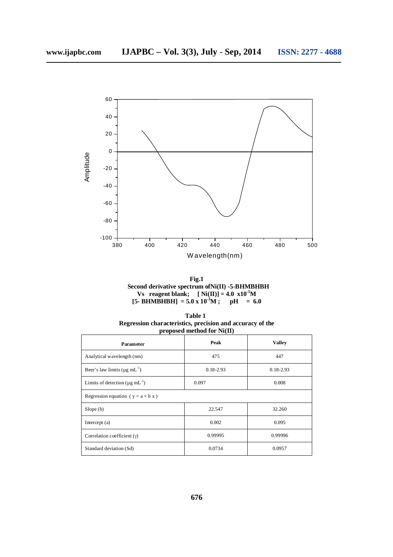

**Fig.1 Second derivative spectrum ofNi(II) -5-BHMBHBH Vs reagent blank;**  $[$  **Ni**(**II**)] = 4.0  $x10^{-5}$ M  $[5 - \text{BHMBHBH}] = 5.0 \times 10^{-3} \text{M}$ ;  $p\text{H} = 6.0$ 

| Table 1                                                   |  |  |  |  |
|-----------------------------------------------------------|--|--|--|--|
| Regression characteristics, precision and accuracy of the |  |  |  |  |
| proposed method for $Ni(II)$                              |  |  |  |  |

| Parameter                                        | Peak                           | <b>Valley</b> |  |  |  |
|--------------------------------------------------|--------------------------------|---------------|--|--|--|
| Analytical wavelength (nm)                       | 475                            | 447           |  |  |  |
| Beer's law limits ( $\mu$ g mL <sup>-1</sup> )   | $0.18 - 2.93$<br>$0.18 - 2.93$ |               |  |  |  |
| Limits of detection ( $\mu$ g mL <sup>-1</sup> ) | 0.097                          | 0.008         |  |  |  |
| Regression equation ( $y = a + b x$ )            |                                |               |  |  |  |
| Slope(b)                                         | 22.547                         | 32.260        |  |  |  |
| Intercept (a)                                    | 0.002                          | 0.095         |  |  |  |
| Correlation coefficient $(y)$                    | 0.99995                        | 0.99996       |  |  |  |
| Standard deviation (Sd)                          | 0.0734                         | 0.0957        |  |  |  |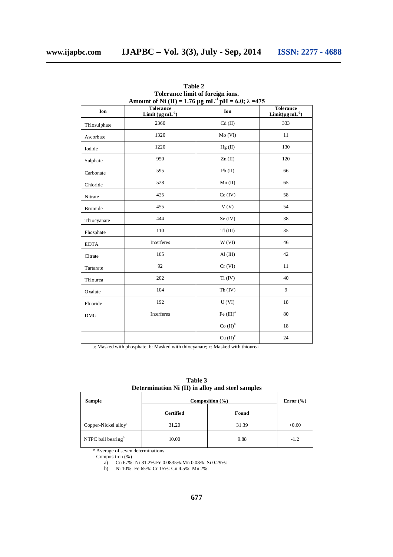| Amount of Ni (II) = 1.76 µg mL <sup>-1</sup> pH = 6.0; $\lambda$ =475 |                                                |                      |                                                       |  |  |
|-----------------------------------------------------------------------|------------------------------------------------|----------------------|-------------------------------------------------------|--|--|
| Ion                                                                   | <b>Tolerance</b><br>Limit $(\mu g \, mL^{-1})$ | Ion                  | <b>Tolerance</b><br>Limit( $\mu$ g mL <sup>-1</sup> ) |  |  |
| Thiosulphate                                                          | 2360                                           | $Cd$ (II)            | 333                                                   |  |  |
| Ascorbate                                                             | 1320                                           | $Mo$ (VI)            | 11                                                    |  |  |
| Iodide                                                                | 1220                                           | Hg(II)               | 130                                                   |  |  |
| Sulphate                                                              | 950                                            | Zn(II)               | 120                                                   |  |  |
| Carbonate                                                             | 595                                            | Pb(II)               | 66                                                    |  |  |
| Chloride                                                              | 528                                            | Mn(II)               | 65                                                    |  |  |
| Nitrate                                                               | 425                                            | Ce (IV)              | 58                                                    |  |  |
| <b>Bromide</b>                                                        | 455                                            | V(V)                 | 54                                                    |  |  |
| Thiocyanate                                                           | 444                                            | Se (IV)              | 38                                                    |  |  |
| Phosphate                                                             | 110                                            | $T1$ (III)           | 35                                                    |  |  |
| <b>EDTA</b>                                                           | Interferes                                     | W(VI)                | 46                                                    |  |  |
| Citrate                                                               | 105                                            | $AI$ (III)           | 42                                                    |  |  |
| Tartarate                                                             | 92                                             | $Cr$ (VI)            | 11                                                    |  |  |
| Thiourea                                                              | 202                                            | Ti (IV)              | 40                                                    |  |  |
| Oxalate                                                               | 104                                            | Th (IV)              | 9                                                     |  |  |
| Fluoride                                                              | 192                                            | U(VI)                | 18                                                    |  |  |
| <b>DMG</b>                                                            | Interferes                                     | Fe $(III)^a$         | 80                                                    |  |  |
|                                                                       |                                                | Co (II) <sup>b</sup> | 18                                                    |  |  |
|                                                                       |                                                | Cu (II) <sup>c</sup> | 24                                                    |  |  |

**Table 2 Tolerance limit of foreign ions.**

a: Masked with phosphate; b: Masked with thiocyanate; c: Masked with thiourea

**Table 3 Determination Ni (II) in alloy and steel samples**

| Sample                           | Composition $(\% )$ | Error $(\% )$ |         |
|----------------------------------|---------------------|---------------|---------|
|                                  | <b>Certified</b>    | Found         |         |
| Copper-Nickel alloy <sup>a</sup> | 31.20               | 31.39         | $+0.60$ |
| NTPC ball bearing <sup>b</sup>   | 10.00               | 9.88          | $-1.2$  |

\* Average of seven determinations

Composition (%)

a) Cu 67%: Ni 31.2%:Fe 0.0835%:Mn 0.08%: Si 0.29%:

b) Ni 10%: Fe 65%: Cr 15%: Cu 4.5%: Mn 2%: